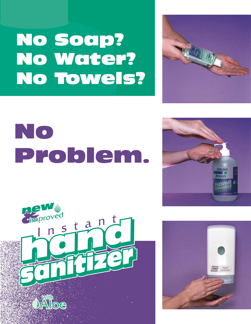## No Soap? No Water? No Towels?



# NO Problem.